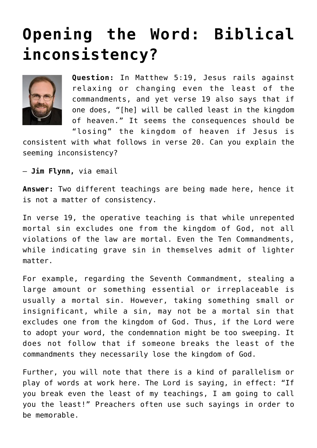## **[Opening the Word: Biblical](https://www.osvnews.com/2018/08/05/biblical-inconsistency/) [inconsistency?](https://www.osvnews.com/2018/08/05/biblical-inconsistency/)**



**Question:** In Matthew 5:19, Jesus rails against relaxing or changing even the least of the commandments, and yet verse 19 also says that if one does, "[he] will be called least in the kingdom of heaven." It seems the consequences should be "losing" the kingdom of heaven if Jesus is

consistent with what follows in verse 20. Can you explain the seeming inconsistency?

— **Jim Flynn,** via email

**Answer:** Two different teachings are being made here, hence it is not a matter of consistency.

In verse 19, the operative teaching is that while unrepented mortal sin excludes one from the kingdom of God, not all violations of the law are mortal. Even the Ten Commandments, while indicating grave sin in themselves admit of lighter matter.

For example, regarding the Seventh Commandment, stealing a large amount or something essential or irreplaceable is usually a mortal sin. However, taking something small or insignificant, while a sin, may not be a mortal sin that excludes one from the kingdom of God. Thus, if the Lord were to adopt your word, the condemnation might be too sweeping. It does not follow that if someone breaks the least of the commandments they necessarily lose the kingdom of God.

Further, you will note that there is a kind of parallelism or play of words at work here. The Lord is saying, in effect: "If you break even the least of my teachings, I am going to call you the least!" Preachers often use such sayings in order to be memorable.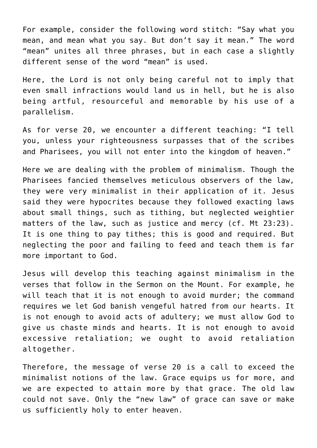For example, consider the following word stitch: "Say what you mean, and mean what you say. But don't say it mean." The word "mean" unites all three phrases, but in each case a slightly different sense of the word "mean" is used.

Here, the Lord is not only being careful not to imply that even small infractions would land us in hell, but he is also being artful, resourceful and memorable by his use of a parallelism.

As for verse 20, we encounter a different teaching: "I tell you, unless your righteousness surpasses that of the scribes and Pharisees, you will not enter into the kingdom of heaven."

Here we are dealing with the problem of minimalism. Though the Pharisees fancied themselves meticulous observers of the law, they were very minimalist in their application of it. Jesus said they were hypocrites because they followed exacting laws about small things, such as tithing, but neglected weightier matters of the law, such as justice and mercy (cf. Mt 23:23). It is one thing to pay tithes; this is good and required. But neglecting the poor and failing to feed and teach them is far more important to God.

Jesus will develop this teaching against minimalism in the verses that follow in the Sermon on the Mount. For example, he will teach that it is not enough to avoid murder; the command requires we let God banish vengeful hatred from our hearts. It is not enough to avoid acts of adultery; we must allow God to give us chaste minds and hearts. It is not enough to avoid excessive retaliation; we ought to avoid retaliation altogether.

Therefore, the message of verse 20 is a call to exceed the minimalist notions of the law. Grace equips us for more, and we are expected to attain more by that grace. The old law could not save. Only the "new law" of grace can save or make us sufficiently holy to enter heaven.